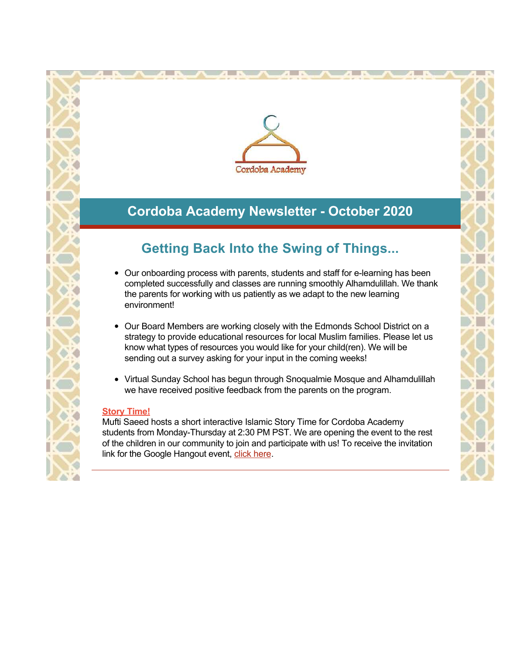

## **Cordoba Academy Newsletter - October 2020**

## **Getting Back Into the Swing of Things...**

- Our onboarding process with parents, students and staff for e-learning has been completed successfully and classes are running smoothly Alhamdulillah. We thank the parents for working with us patiently as we adapt to the new learning environment!
- Our Board Members are working closely with the Edmonds School District on a strategy to provide educational resources for local Muslim families. Please let us know what types of resources you would like for your child(ren). We will be sending out a survey asking for your input in the coming weeks!
- Virtual Sunday School has begun through Snoqualmie Mosque and Alhamdulillah we have received positive feedback from the parents on the program.

#### **Story Time!**

Mufti Saeed hosts a short interactive Islamic Story Time for Cordoba Academy students from Monday-Thursday at 2:30 PM PST. We are opening the event to the rest of the children in our community to join and participate with us! To receive the invitation link for the Google Hangout event, [click here](http://r20.rs6.net/tn.jsp?f=001JzNN7JnK9SIM69Mw5dh_Z7o9gW76gR92LhcQIOgi1bo60b-4HYT9ud_a4UX9kLNmuFfcXDISi7wbiBmhRlMNpP1dJLnVHQCh6gpD7Qut0ZY8OdiqjpebcUMfrzNJh7aUwJG2ky-7L_3OIOSBGacaUC0rifwdTHpc&c=eU7MP3Eh1bA8JTheoymA6WShsIYZgYzA08gO5hSTA1KN0UA3MDsZFQ==&ch=BgGDKSWYf7ni0WbgAroJQVG0et8dwjANfyaAmwglov4P36dqBE0Zsg==).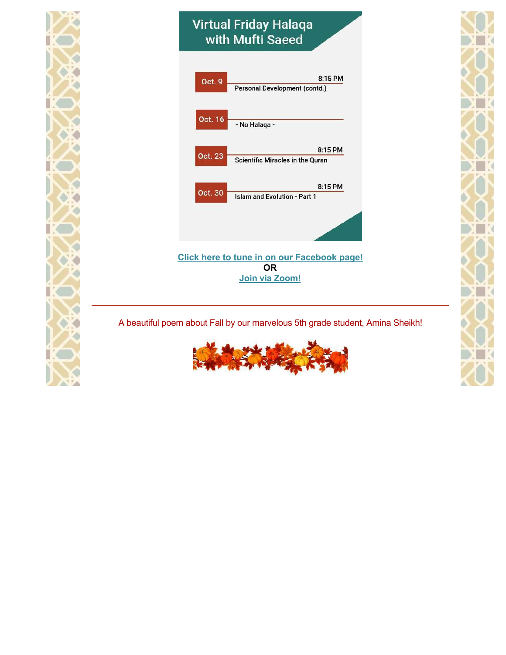

# **Virtual Friday Halaqa** with Mufti Saeed



A beautiful poem about Fall by our marvelous 5th grade student, Amina Sheikh!